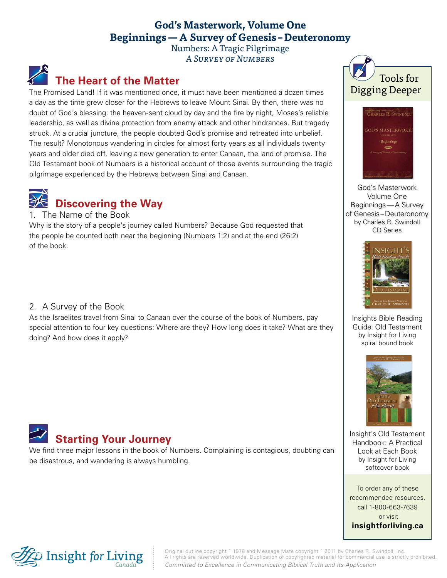### **God's Masterwork, Volume One Beginnings—A Survey of Genesis –Deuteronomy**

Numbers: A Tragic Pilgrimage A Survey of Numbers

## **The Heart of the Matter**

The Promised Land! If it was mentioned once, it must have been mentioned a dozen times a day as the time grew closer for the Hebrews to leave Mount Sinai. By then, there was no doubt of God's blessing: the heaven-sent cloud by day and the fire by night, Moses's reliable leadership, as well as divine protection from enemy attack and other hindrances. But tragedy struck. At a crucial juncture, the people doubted God's promise and retreated into unbelief. The result? Monotonous wandering in circles for almost forty years as all individuals twenty years and older died off, leaving a new generation to enter Canaan, the land of promise. The Old Testament book of Numbers is a historical account of those events surrounding the tragic pilgrimage experienced by the Hebrews between Sinai and Canaan.



#### 1. The Name of the Book

Why is the story of a people's journey called Numbers? Because God requested that the people be counted both near the beginning (Numbers 1:2) and at the end (26:2) of the book.

### 2. A Survey of the Book

As the Israelites travel from Sinai to Canaan over the course of the book of Numbers, pay special attention to four key questions: Where are they? How long does it take? What are they doing? And how does it apply?



We find three major lessons in the book of Numbers. Complaining is contagious, doubting can be disastrous, and wandering is always humbling.





God's Masterwork Volume One Beginnings—A Survey of Genesis–Deuteronomy by Charles R. Swindoll CD Series



Insights Bible Reading Guide: Old Testament by Insight for Living spiral bound book



Insight's Old Testament Handbook: A Practical Look at Each Book by Insight for Living softcover book

To order any of these recommended resources, call 1-800-663-7639 or visit **[insightforliving.ca](http://www.insightforliving.ca/)**



Original outline copyright ˝ 1978 and Message Mate copyright ˝ 2011 by Charles R. Swindoll, Inc. All rights are reserved worldwide. Duplication of copyrighted material for commercial use is strictly prohibited. *Committed to Excellence in Communicating Biblical Truth and Its Application*